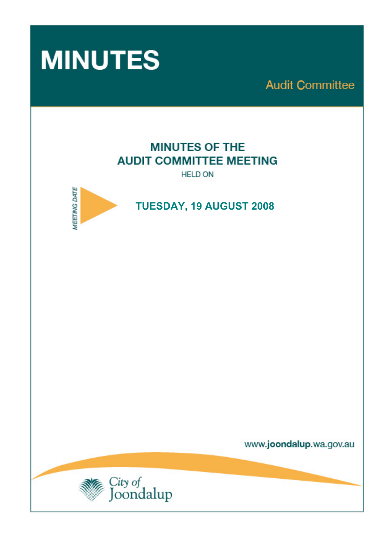

**Audit Committee** 

# **MINUTES OF THE AUDIT COMMITTEE MEETING**

**HELD ON** 



 **TUESDAY, 19 AUGUST 2008** 

www.joondalup.wa.gov.au

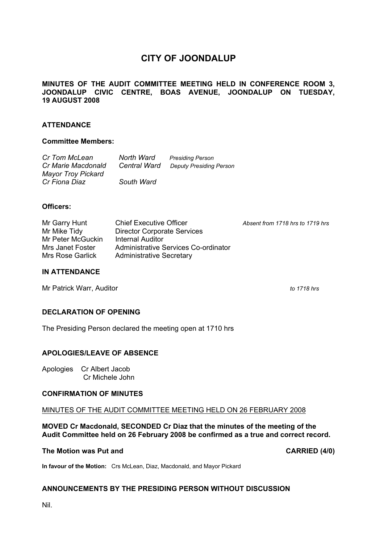# **CITY OF JOONDALUP**

## **MINUTES OF THE AUDIT COMMITTEE MEETING HELD IN CONFERENCE ROOM 3, JOONDALUP CIVIC CENTRE, BOAS AVENUE, JOONDALUP ON TUESDAY, 19 AUGUST 2008**

# **ATTENDANCE**

#### **Committee Members:**

| Cr Tom McLean<br>Cr Marie Macdonald | North Ward<br><b>Central Ward</b> | <b>Presiding Person</b><br><b>Deputy Presiding Person</b> |
|-------------------------------------|-----------------------------------|-----------------------------------------------------------|
| <b>Mayor Troy Pickard</b>           |                                   |                                                           |
| Cr Fiona Diaz                       | South Ward                        |                                                           |

#### **Officers:**

| Mr Garry Hunt     | <b>Chief Executive Officer</b>       | Absent from 1718 hrs to 1719 hrs |
|-------------------|--------------------------------------|----------------------------------|
| Mr Mike Tidy      | <b>Director Corporate Services</b>   |                                  |
| Mr Peter McGuckin | Internal Auditor                     |                                  |
| Mrs Janet Foster  | Administrative Services Co-ordinator |                                  |
| Mrs Rose Garlick  | <b>Administrative Secretary</b>      |                                  |

#### **IN ATTENDANCE**

Mr Patrick Warr, Auditor *to 1718 hrs to 1718 hrs* 

## **DECLARATION OF OPENING**

The Presiding Person declared the meeting open at 1710 hrs

## **APOLOGIES/LEAVE OF ABSENCE**

Apologies Cr Albert Jacob Cr Michele John

## **CONFIRMATION OF MINUTES**

#### MINUTES OF THE AUDIT COMMITTEE MEETING HELD ON 26 FEBRUARY 2008

**MOVED Cr Macdonald, SECONDED Cr Diaz that the minutes of the meeting of the Audit Committee held on 26 February 2008 be confirmed as a true and correct record.** 

#### The Motion was Put and **CARRIED** (4/0)

**In favour of the Motion:** Crs McLean, Diaz, Macdonald, and Mayor Pickard

## **ANNOUNCEMENTS BY THE PRESIDING PERSON WITHOUT DISCUSSION**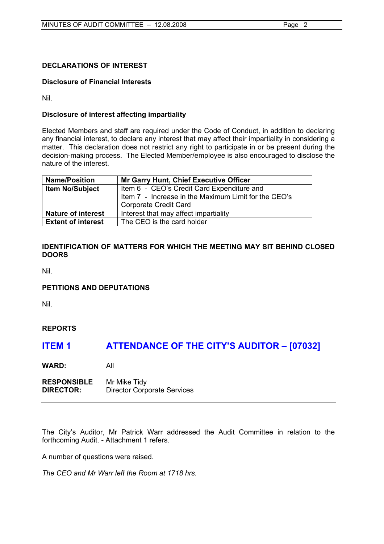# **DECLARATIONS OF INTEREST**

# **Disclosure of Financial Interests**

Nil.

# **Disclosure of interest affecting impartiality**

Elected Members and staff are required under the Code of Conduct, in addition to declaring any financial interest, to declare any interest that may affect their impartiality in considering a matter. This declaration does not restrict any right to participate in or be present during the decision-making process. The Elected Member/employee is also encouraged to disclose the nature of the interest.

| <b>Name/Position</b>      | Mr Garry Hunt, Chief Executive Officer               |
|---------------------------|------------------------------------------------------|
| <b>Item No/Subject</b>    | Item 6 - CEO's Credit Card Expenditure and           |
|                           | Item 7 - Increase in the Maximum Limit for the CEO's |
|                           | Corporate Credit Card                                |
| <b>Nature of interest</b> | Interest that may affect impartiality                |
| <b>Extent of interest</b> | The CEO is the card holder                           |

# **IDENTIFICATION OF MATTERS FOR WHICH THE MEETING MAY SIT BEHIND CLOSED DOORS**

Nil.

# **PETITIONS AND DEPUTATIONS**

Nil.

# **REPORTS**

# **ITEM 1 ATTENDANCE OF THE CITY'S AUDITOR – [07032]**

**WARD:** All

**RESPONSIBLE** Mr Mike Tidy **DIRECTOR:** Director Corporate Services

The City's Auditor, Mr Patrick Warr addressed the Audit Committee in relation to the forthcoming Audit. - Attachment 1 refers.

A number of questions were raised.

*The CEO and Mr Warr left the Room at 1718 hrs.*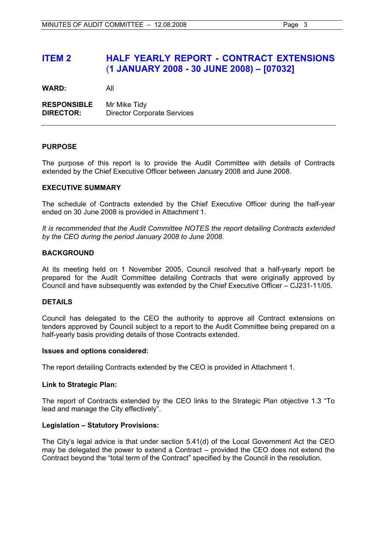# **ITEM 2 HALF YEARLY REPORT - CONTRACT EXTENSIONS**  (**1 JANUARY 2008 - 30 JUNE 2008) – [07032]**

**WARD:** All

**RESPONSIBLE** Mr Mike Tidy **DIRECTOR:** Director Corporate Services

## **PURPOSE**

The purpose of this report is to provide the Audit Committee with details of Contracts extended by the Chief Executive Officer between January 2008 and June 2008.

# **EXECUTIVE SUMMARY**

The schedule of Contracts extended by the Chief Executive Officer during the half-year ended on 30 June 2008 is provided in Attachment 1.

*It is recommended that the Audit Committee NOTES the report detailing Contracts extended by the CEO during the period January 2008 to June 2008.*

# **BACKGROUND**

At its meeting held on 1 November 2005, Council resolved that a half-yearly report be prepared for the Audit Committee detailing Contracts that were originally approved by Council and have subsequently was extended by the Chief Executive Officer – CJ231-11/05.

## **DETAILS**

Council has delegated to the CEO the authority to approve all Contract extensions on tenders approved by Council subject to a report to the Audit Committee being prepared on a half-yearly basis providing details of those Contracts extended.

## **Issues and options considered:**

The report detailing Contracts extended by the CEO is provided in Attachment 1.

## **Link to Strategic Plan:**

The report of Contracts extended by the CEO links to the Strategic Plan objective 1.3 "To lead and manage the City effectively".

## **Legislation – Statutory Provisions:**

The City's legal advice is that under section 5.41(d) of the Local Government Act the CEO may be delegated the power to extend a Contract – provided the CEO does not extend the Contract beyond the "total term of the Contract" specified by the Council in the resolution.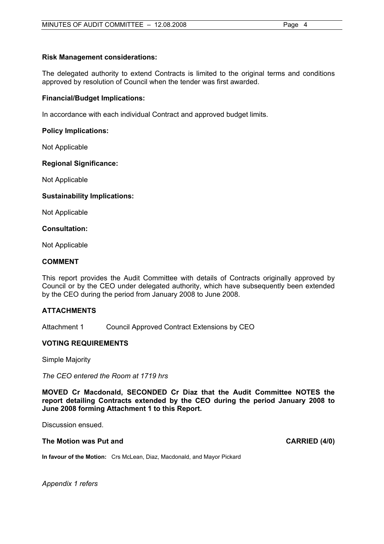# **Risk Management considerations:**

The delegated authority to extend Contracts is limited to the original terms and conditions approved by resolution of Council when the tender was first awarded.

## **Financial/Budget Implications:**

In accordance with each individual Contract and approved budget limits.

# **Policy Implications:**

Not Applicable

# **Regional Significance:**

Not Applicable

# **Sustainability Implications:**

Not Applicable

## **Consultation:**

Not Applicable

## **COMMENT**

This report provides the Audit Committee with details of Contracts originally approved by Council or by the CEO under delegated authority, which have subsequently been extended by the CEO during the period from January 2008 to June 2008.

# **ATTACHMENTS**

Attachment 1 Council Approved Contract Extensions by CEO

# **VOTING REQUIREMENTS**

Simple Majority

*The CEO entered the Room at 1719 hrs* 

**MOVED Cr Macdonald, SECONDED Cr Diaz that the Audit Committee NOTES the report detailing Contracts extended by the CEO during the period January 2008 to June 2008 forming Attachment 1 to this Report.** 

Discussion ensued.

## The Motion was Put and **CARRIED** (4/0)

**In favour of the Motion:** Crs McLean, Diaz, Macdonald, and Mayor Pickard

*Appendix 1 refers*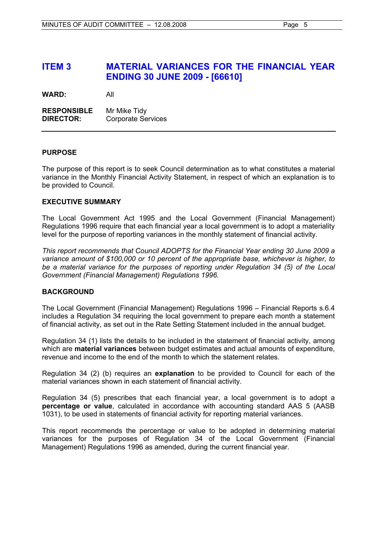# **ITEM 3 MATERIAL VARIANCES FOR THE FINANCIAL YEAR ENDING 30 JUNE 2009 - [66610]**

**WARD:** All

**RESPONSIBLE** Mr Mike Tidy **DIRECTOR:** Corporate Services

# **PURPOSE**

The purpose of this report is to seek Council determination as to what constitutes a material variance in the Monthly Financial Activity Statement, in respect of which an explanation is to be provided to Council.

# **EXECUTIVE SUMMARY**

The Local Government Act 1995 and the Local Government (Financial Management) Regulations 1996 require that each financial year a local government is to adopt a materiality level for the purpose of reporting variances in the monthly statement of financial activity.

*This report recommends that Council ADOPTS for the Financial Year ending 30 June 2009 a variance amount of \$100,000 or 10 percent of the appropriate base, whichever is higher, to be a material variance for the purposes of reporting under Regulation 34 (5) of the Local Government (Financial Management) Regulations 1996.* 

# **BACKGROUND**

The Local Government (Financial Management) Regulations 1996 – Financial Reports s.6.4 includes a Regulation 34 requiring the local government to prepare each month a statement of financial activity, as set out in the Rate Setting Statement included in the annual budget.

Regulation 34 (1) lists the details to be included in the statement of financial activity, among which are **material variances** between budget estimates and actual amounts of expenditure, revenue and income to the end of the month to which the statement relates.

Regulation 34 (2) (b) requires an **explanation** to be provided to Council for each of the material variances shown in each statement of financial activity.

Regulation 34 (5) prescribes that each financial year, a local government is to adopt a **percentage or value**, calculated in accordance with accounting standard AAS 5 (AASB 1031), to be used in statements of financial activity for reporting material variances.

This report recommends the percentage or value to be adopted in determining material variances for the purposes of Regulation 34 of the Local Government (Financial Management) Regulations 1996 as amended, during the current financial year.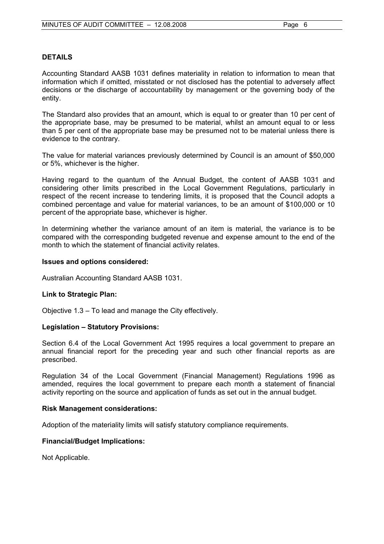## **DETAILS**

Accounting Standard AASB 1031 defines materiality in relation to information to mean that information which if omitted, misstated or not disclosed has the potential to adversely affect decisions or the discharge of accountability by management or the governing body of the entity.

The Standard also provides that an amount, which is equal to or greater than 10 per cent of the appropriate base, may be presumed to be material, whilst an amount equal to or less than 5 per cent of the appropriate base may be presumed not to be material unless there is evidence to the contrary.

The value for material variances previously determined by Council is an amount of \$50,000 or 5%, whichever is the higher.

Having regard to the quantum of the Annual Budget, the content of AASB 1031 and considering other limits prescribed in the Local Government Regulations, particularly in respect of the recent increase to tendering limits, it is proposed that the Council adopts a combined percentage and value for material variances, to be an amount of \$100,000 or 10 percent of the appropriate base, whichever is higher.

In determining whether the variance amount of an item is material, the variance is to be compared with the corresponding budgeted revenue and expense amount to the end of the month to which the statement of financial activity relates.

## **Issues and options considered:**

Australian Accounting Standard AASB 1031.

## **Link to Strategic Plan:**

Objective 1.3 – To lead and manage the City effectively.

## **Legislation – Statutory Provisions:**

Section 6.4 of the Local Government Act 1995 requires a local government to prepare an annual financial report for the preceding year and such other financial reports as are prescribed.

Regulation 34 of the Local Government (Financial Management) Regulations 1996 as amended, requires the local government to prepare each month a statement of financial activity reporting on the source and application of funds as set out in the annual budget.

## **Risk Management considerations:**

Adoption of the materiality limits will satisfy statutory compliance requirements.

## **Financial/Budget Implications:**

Not Applicable.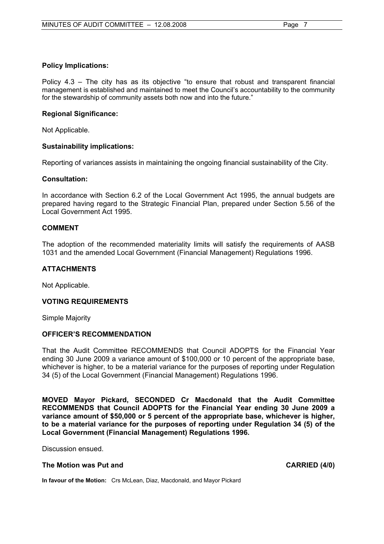# **Policy Implications:**

Policy 4.3 – The city has as its objective "to ensure that robust and transparent financial management is established and maintained to meet the Council's accountability to the community for the stewardship of community assets both now and into the future."

## **Regional Significance:**

Not Applicable.

# **Sustainability implications:**

Reporting of variances assists in maintaining the ongoing financial sustainability of the City.

# **Consultation:**

In accordance with Section 6.2 of the Local Government Act 1995, the annual budgets are prepared having regard to the Strategic Financial Plan, prepared under Section 5.56 of the Local Government Act 1995.

# **COMMENT**

The adoption of the recommended materiality limits will satisfy the requirements of AASB 1031 and the amended Local Government (Financial Management) Regulations 1996.

# **ATTACHMENTS**

Not Applicable.

## **VOTING REQUIREMENTS**

Simple Majority

## **OFFICER'S RECOMMENDATION**

That the Audit Committee RECOMMENDS that Council ADOPTS for the Financial Year ending 30 June 2009 a variance amount of \$100,000 or 10 percent of the appropriate base, whichever is higher, to be a material variance for the purposes of reporting under Regulation 34 (5) of the Local Government (Financial Management) Regulations 1996.

**MOVED Mayor Pickard, SECONDED Cr Macdonald that the Audit Committee RECOMMENDS that Council ADOPTS for the Financial Year ending 30 June 2009 a variance amount of \$50,000 or 5 percent of the appropriate base, whichever is higher, to be a material variance for the purposes of reporting under Regulation 34 (5) of the Local Government (Financial Management) Regulations 1996.** 

Discussion ensued.

## The Motion was Put and **CARRIED** (4/0)

**In favour of the Motion:** Crs McLean, Diaz, Macdonald, and Mayor Pickard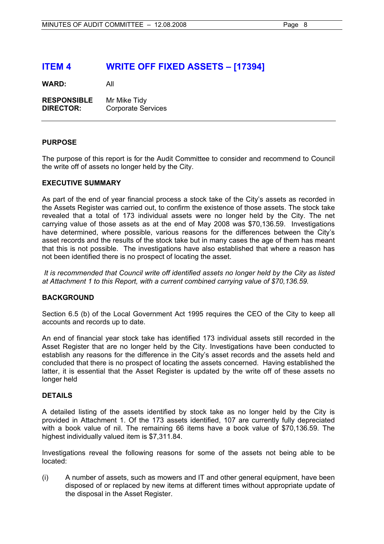# **ITEM 4 WRITE OFF FIXED ASSETS – [17394]**

**WARD:** All

**RESPONSIBLE** Mr Mike Tidy **DIRECTOR:** Corporate Services

# **PURPOSE**

The purpose of this report is for the Audit Committee to consider and recommend to Council the write off of assets no longer held by the City.

# **EXECUTIVE SUMMARY**

As part of the end of year financial process a stock take of the City's assets as recorded in the Assets Register was carried out, to confirm the existence of those assets. The stock take revealed that a total of 173 individual assets were no longer held by the City. The net carrying value of those assets as at the end of May 2008 was \$70,136.59. Investigations have determined, where possible, various reasons for the differences between the City's asset records and the results of the stock take but in many cases the age of them has meant that this is not possible. The investigations have also established that where a reason has not been identified there is no prospect of locating the asset.

 *It is recommended that Council write off identified assets no longer held by the City as listed at Attachment 1 to this Report, with a current combined carrying value of \$70,136.59.* 

# **BACKGROUND**

Section 6.5 (b) of the Local Government Act 1995 requires the CEO of the City to keep all accounts and records up to date.

An end of financial year stock take has identified 173 individual assets still recorded in the Asset Register that are no longer held by the City. Investigations have been conducted to establish any reasons for the difference in the City's asset records and the assets held and concluded that there is no prospect of locating the assets concerned. Having established the latter, it is essential that the Asset Register is updated by the write off of these assets no longer held

## **DETAILS**

A detailed listing of the assets identified by stock take as no longer held by the City is provided in Attachment 1. Of the 173 assets identified, 107 are currently fully depreciated with a book value of nil. The remaining 66 items have a book value of \$70,136.59. The highest individually valued item is \$7,311.84.

Investigations reveal the following reasons for some of the assets not being able to be located:

(i) A number of assets, such as mowers and IT and other general equipment, have been disposed of or replaced by new items at different times without appropriate update of the disposal in the Asset Register.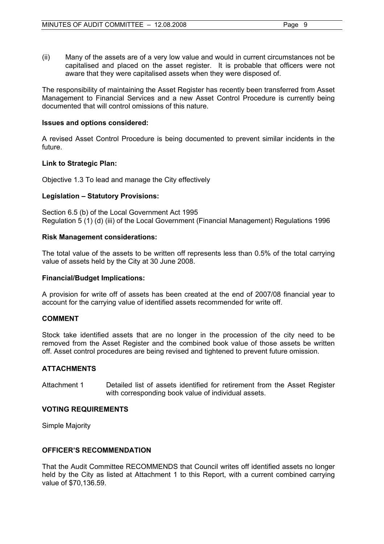(ii) Many of the assets are of a very low value and would in current circumstances not be capitalised and placed on the asset register. It is probable that officers were not aware that they were capitalised assets when they were disposed of.

The responsibility of maintaining the Asset Register has recently been transferred from Asset Management to Financial Services and a new Asset Control Procedure is currently being documented that will control omissions of this nature.

# **Issues and options considered:**

A revised Asset Control Procedure is being documented to prevent similar incidents in the future.

# **Link to Strategic Plan:**

Objective 1.3 To lead and manage the City effectively

# **Legislation – Statutory Provisions:**

Section 6.5 (b) of the Local Government Act 1995 Regulation 5 (1) (d) (iii) of the Local Government (Financial Management) Regulations 1996

# **Risk Management considerations:**

The total value of the assets to be written off represents less than 0.5% of the total carrying value of assets held by the City at 30 June 2008.

# **Financial/Budget Implications:**

A provision for write off of assets has been created at the end of 2007/08 financial year to account for the carrying value of identified assets recommended for write off.

# **COMMENT**

Stock take identified assets that are no longer in the procession of the city need to be removed from the Asset Register and the combined book value of those assets be written off. Asset control procedures are being revised and tightened to prevent future omission.

# **ATTACHMENTS**

Attachment 1 Detailed list of assets identified for retirement from the Asset Register with corresponding book value of individual assets.

# **VOTING REQUIREMENTS**

Simple Majority

# **OFFICER'S RECOMMENDATION**

That the Audit Committee RECOMMENDS that Council writes off identified assets no longer held by the City as listed at Attachment 1 to this Report, with a current combined carrying value of \$70,136.59.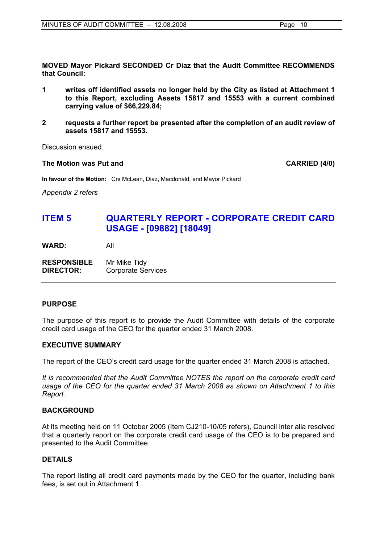**MOVED Mayor Pickard SECONDED Cr Diaz that the Audit Committee RECOMMENDS that Council:** 

- **1 writes off identified assets no longer held by the City as listed at Attachment 1 to this Report, excluding Assets 15817 and 15553 with a current combined carrying value of \$66,229.84;**
- **2 requests a further report be presented after the completion of an audit review of assets 15817 and 15553.**

Discussion ensued.

#### The Motion was Put and **CARRIED** (4/0)

**In favour of the Motion:** Crs McLean, Diaz, Macdonald, and Mayor Pickard

*Appendix 2 refers* 

# **ITEM 5 QUARTERLY REPORT - CORPORATE CREDIT CARD USAGE - [09882] [18049]**

**WARD:** All

**RESPONSIBLE** Mr Mike Tidy **DIRECTOR:** Corporate Services

## **PURPOSE**

The purpose of this report is to provide the Audit Committee with details of the corporate credit card usage of the CEO for the quarter ended 31 March 2008.

## **EXECUTIVE SUMMARY**

The report of the CEO's credit card usage for the quarter ended 31 March 2008 is attached.

*It is recommended that the Audit Committee NOTES the report on the corporate credit card usage of the CEO for the quarter ended 31 March 2008 as shown on Attachment 1 to this Report.*

## **BACKGROUND**

At its meeting held on 11 October 2005 (Item CJ210-10/05 refers), Council inter alia resolved that a quarterly report on the corporate credit card usage of the CEO is to be prepared and presented to the Audit Committee.

## **DETAILS**

The report listing all credit card payments made by the CEO for the quarter, including bank fees, is set out in Attachment 1.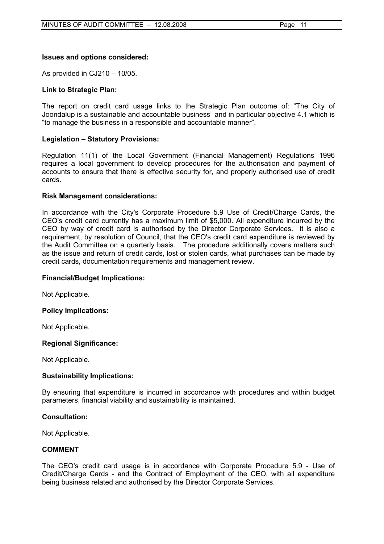# **Issues and options considered:**

As provided in CJ210 – 10/05.

# **Link to Strategic Plan:**

The report on credit card usage links to the Strategic Plan outcome of: "The City of Joondalup is a sustainable and accountable business" and in particular objective 4.1 which is "to manage the business in a responsible and accountable manner".

# **Legislation – Statutory Provisions:**

Regulation 11(1) of the Local Government (Financial Management) Regulations 1996 requires a local government to develop procedures for the authorisation and payment of accounts to ensure that there is effective security for, and properly authorised use of credit cards.

## **Risk Management considerations:**

In accordance with the City's Corporate Procedure 5.9 Use of Credit/Charge Cards, the CEO's credit card currently has a maximum limit of \$5,000. All expenditure incurred by the CEO by way of credit card is authorised by the Director Corporate Services. It is also a requirement, by resolution of Council, that the CEO's credit card expenditure is reviewed by the Audit Committee on a quarterly basis. The procedure additionally covers matters such as the issue and return of credit cards, lost or stolen cards, what purchases can be made by credit cards, documentation requirements and management review.

## **Financial/Budget Implications:**

Not Applicable.

## **Policy Implications:**

Not Applicable.

## **Regional Significance:**

Not Applicable.

## **Sustainability Implications:**

By ensuring that expenditure is incurred in accordance with procedures and within budget parameters, financial viability and sustainability is maintained.

## **Consultation:**

Not Applicable.

# **COMMENT**

The CEO's credit card usage is in accordance with Corporate Procedure 5.9 - Use of Credit/Charge Cards - and the Contract of Employment of the CEO, with all expenditure being business related and authorised by the Director Corporate Services.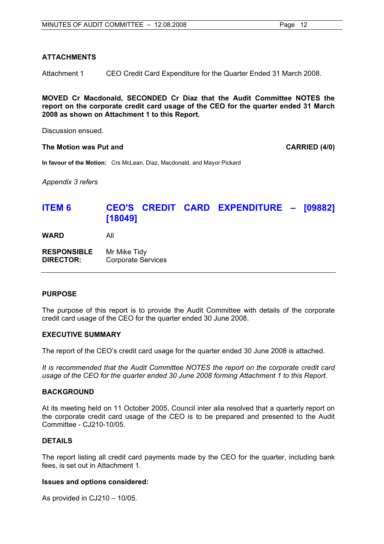# **ATTACHMENTS**

Attachment 1 CEO Credit Card Expenditure for the Quarter Ended 31 March 2008.

**MOVED Cr Macdonald, SECONDED Cr Diaz that the Audit Committee NOTES the report on the corporate credit card usage of the CEO for the quarter ended 31 March 2008 as shown on Attachment 1 to this Report.** 

Discussion ensued.

#### The Motion was Put and **CARRIED** (4/0)

**In favour of the Motion:** Crs McLean, Diaz, Macdonald, and Mayor Pickard

*Appendix 3 refers* 

# **ITEM 6 CEO'S CREDIT CARD EXPENDITURE – [09882] [18049]**

**WARD** All

**RESPONSIBLE** Mr Mike Tidy **DIRECTOR:** Corporate Services

## **PURPOSE**

The purpose of this report is to provide the Audit Committee with details of the corporate credit card usage of the CEO for the quarter ended 30 June 2008.

## **EXECUTIVE SUMMARY**

The report of the CEO's credit card usage for the quarter ended 30 June 2008 is attached.

*It is recommended that the Audit Committee NOTES the report on the corporate credit card usage of the CEO for the quarter ended 30 June 2008 forming Attachment 1 to this Report.* 

## **BACKGROUND**

At its meeting held on 11 October 2005, Council inter alia resolved that a quarterly report on the corporate credit card usage of the CEO is to be prepared and presented to the Audit Committee - CJ210-10/05.

## **DETAILS**

The report listing all credit card payments made by the CEO for the quarter, including bank fees, is set out in Attachment 1.

## **Issues and options considered:**

As provided in CJ210 – 10/05.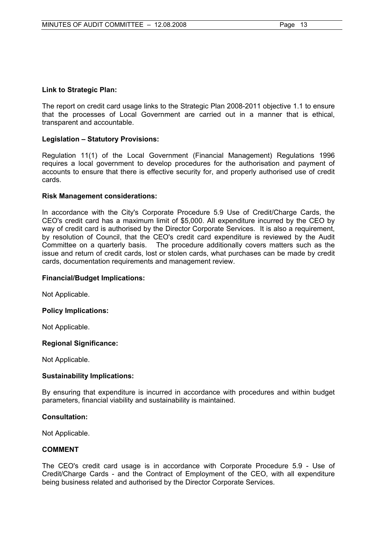# **Link to Strategic Plan:**

The report on credit card usage links to the Strategic Plan 2008-2011 objective 1.1 to ensure that the processes of Local Government are carried out in a manner that is ethical, transparent and accountable.

# **Legislation – Statutory Provisions:**

Regulation 11(1) of the Local Government (Financial Management) Regulations 1996 requires a local government to develop procedures for the authorisation and payment of accounts to ensure that there is effective security for, and properly authorised use of credit cards.

# **Risk Management considerations:**

In accordance with the City's Corporate Procedure 5.9 Use of Credit/Charge Cards, the CEO's credit card has a maximum limit of \$5,000. All expenditure incurred by the CEO by way of credit card is authorised by the Director Corporate Services. It is also a requirement, by resolution of Council, that the CEO's credit card expenditure is reviewed by the Audit Committee on a quarterly basis. The procedure additionally covers matters such as the issue and return of credit cards, lost or stolen cards, what purchases can be made by credit cards, documentation requirements and management review.

## **Financial/Budget Implications:**

Not Applicable.

## **Policy Implications:**

Not Applicable.

## **Regional Significance:**

Not Applicable.

## **Sustainability Implications:**

By ensuring that expenditure is incurred in accordance with procedures and within budget parameters, financial viability and sustainability is maintained.

## **Consultation:**

Not Applicable.

# **COMMENT**

The CEO's credit card usage is in accordance with Corporate Procedure 5.9 - Use of Credit/Charge Cards - and the Contract of Employment of the CEO, with all expenditure being business related and authorised by the Director Corporate Services.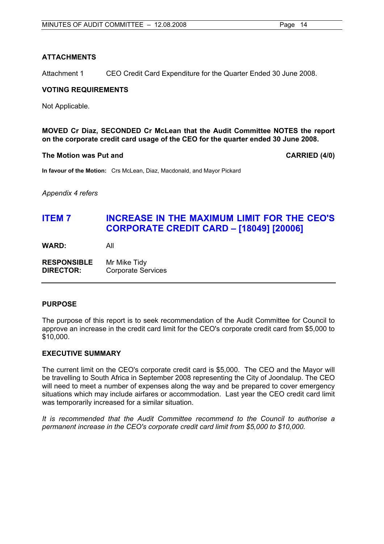# **ATTACHMENTS**

Attachment 1 CEO Credit Card Expenditure for the Quarter Ended 30 June 2008.

# **VOTING REQUIREMENTS**

Not Applicable.

**MOVED Cr Diaz, SECONDED Cr McLean that the Audit Committee NOTES the report on the corporate credit card usage of the CEO for the quarter ended 30 June 2008.** 

# **The Motion was Put and CARRIED (4/0) CARRIED (4/0)**

**In favour of the Motion:** Crs McLean, Diaz, Macdonald, and Mayor Pickard

*Appendix 4 refers* 

# **ITEM 7 INCREASE IN THE MAXIMUM LIMIT FOR THE CEO'S CORPORATE CREDIT CARD – [18049] [20006]**

**WARD:** All

**RESPONSIBLE** Mr Mike Tidy **DIRECTOR:** Corporate Services

# **PURPOSE**

The purpose of this report is to seek recommendation of the Audit Committee for Council to approve an increase in the credit card limit for the CEO's corporate credit card from \$5,000 to \$10,000.

# **EXECUTIVE SUMMARY**

The current limit on the CEO's corporate credit card is \$5,000. The CEO and the Mayor will be travelling to South Africa in September 2008 representing the City of Joondalup. The CEO will need to meet a number of expenses along the way and be prepared to cover emergency situations which may include airfares or accommodation. Last year the CEO credit card limit was temporarily increased for a similar situation.

*It is recommended that the Audit Committee recommend to the Council to authorise a permanent increase in the CEO's corporate credit card limit from \$5,000 to \$10,000.*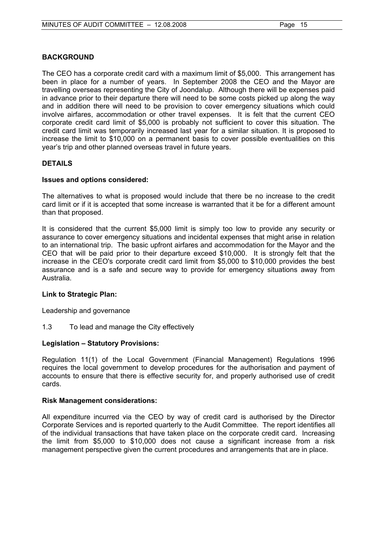# **BACKGROUND**

The CEO has a corporate credit card with a maximum limit of \$5,000. This arrangement has been in place for a number of years. In September 2008 the CEO and the Mayor are travelling overseas representing the City of Joondalup. Although there will be expenses paid in advance prior to their departure there will need to be some costs picked up along the way and in addition there will need to be provision to cover emergency situations which could involve airfares, accommodation or other travel expenses. It is felt that the current CEO corporate credit card limit of \$5,000 is probably not sufficient to cover this situation. The credit card limit was temporarily increased last year for a similar situation. It is proposed to increase the limit to \$10,000 on a permanent basis to cover possible eventualities on this year's trip and other planned overseas travel in future years.

# **DETAILS**

# **Issues and options considered:**

The alternatives to what is proposed would include that there be no increase to the credit card limit or if it is accepted that some increase is warranted that it be for a different amount than that proposed.

It is considered that the current \$5,000 limit is simply too low to provide any security or assurance to cover emergency situations and incidental expenses that might arise in relation to an international trip. The basic upfront airfares and accommodation for the Mayor and the CEO that will be paid prior to their departure exceed \$10,000. It is strongly felt that the increase in the CEO's corporate credit card limit from \$5,000 to \$10,000 provides the best assurance and is a safe and secure way to provide for emergency situations away from Australia.

# **Link to Strategic Plan:**

Leadership and governance

1.3 To lead and manage the City effectively

# **Legislation – Statutory Provisions:**

Regulation 11(1) of the Local Government (Financial Management) Regulations 1996 requires the local government to develop procedures for the authorisation and payment of accounts to ensure that there is effective security for, and properly authorised use of credit cards.

# **Risk Management considerations:**

All expenditure incurred via the CEO by way of credit card is authorised by the Director Corporate Services and is reported quarterly to the Audit Committee. The report identifies all of the individual transactions that have taken place on the corporate credit card. Increasing the limit from \$5,000 to \$10,000 does not cause a significant increase from a risk management perspective given the current procedures and arrangements that are in place.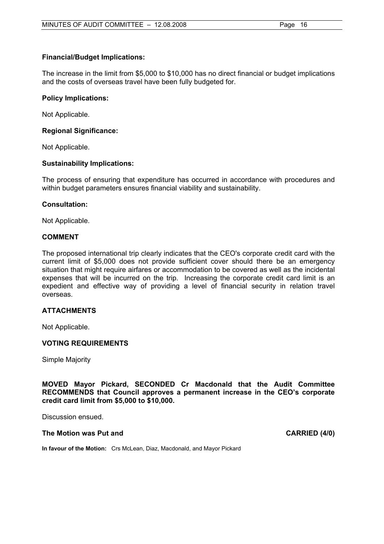# **Financial/Budget Implications:**

The increase in the limit from \$5,000 to \$10,000 has no direct financial or budget implications and the costs of overseas travel have been fully budgeted for.

## **Policy Implications:**

Not Applicable.

# **Regional Significance:**

Not Applicable.

# **Sustainability Implications:**

The process of ensuring that expenditure has occurred in accordance with procedures and within budget parameters ensures financial viability and sustainability.

# **Consultation:**

Not Applicable.

# **COMMENT**

The proposed international trip clearly indicates that the CEO's corporate credit card with the current limit of \$5,000 does not provide sufficient cover should there be an emergency situation that might require airfares or accommodation to be covered as well as the incidental expenses that will be incurred on the trip. Increasing the corporate credit card limit is an expedient and effective way of providing a level of financial security in relation travel overseas.

# **ATTACHMENTS**

Not Applicable.

# **VOTING REQUIREMENTS**

Simple Majority

**MOVED Mayor Pickard, SECONDED Cr Macdonald that the Audit Committee RECOMMENDS that Council approves a permanent increase in the CEO's corporate credit card limit from \$5,000 to \$10,000.** 

Discussion ensued.

## The Motion was Put and **CARRIED** (4/0)

**In favour of the Motion:** Crs McLean, Diaz, Macdonald, and Mayor Pickard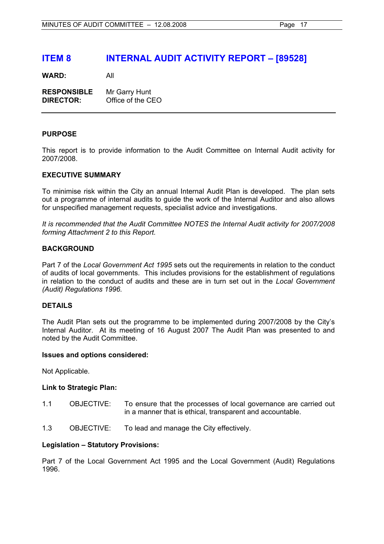# **ITEM 8 INTERNAL AUDIT ACTIVITY REPORT – [89528]**

**WARD:** All

| <b>RESPONSIBLE</b> | Mr Garry Hunt     |
|--------------------|-------------------|
| <b>DIRECTOR:</b>   | Office of the CEO |

## **PURPOSE**

This report is to provide information to the Audit Committee on Internal Audit activity for 2007/2008.

# **EXECUTIVE SUMMARY**

To minimise risk within the City an annual Internal Audit Plan is developed. The plan sets out a programme of internal audits to guide the work of the Internal Auditor and also allows for unspecified management requests, specialist advice and investigations.

*It is recommended that the Audit Committee NOTES the Internal Audit activity for 2007/2008 forming Attachment 2 to this Report.* 

# **BACKGROUND**

Part 7 of the *Local Government Act 1995* sets out the requirements in relation to the conduct of audits of local governments. This includes provisions for the establishment of regulations in relation to the conduct of audits and these are in turn set out in the *Local Government (Audit) Regulations 1996.* 

# **DETAILS**

The Audit Plan sets out the programme to be implemented during 2007/2008 by the City's Internal Auditor. At its meeting of 16 August 2007 The Audit Plan was presented to and noted by the Audit Committee.

## **Issues and options considered:**

Not Applicable.

## **Link to Strategic Plan:**

- 1.1 OBJECTIVE: To ensure that the processes of local governance are carried out in a manner that is ethical, transparent and accountable.
- 1.3 OBJECTIVE: To lead and manage the City effectively.

## **Legislation – Statutory Provisions:**

Part 7 of the Local Government Act 1995 and the Local Government (Audit) Regulations 1996.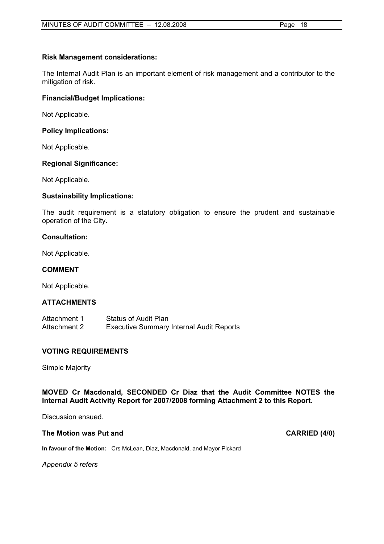# **Risk Management considerations:**

The Internal Audit Plan is an important element of risk management and a contributor to the mitigation of risk.

# **Financial/Budget Implications:**

Not Applicable.

# **Policy Implications:**

Not Applicable.

# **Regional Significance:**

Not Applicable.

# **Sustainability Implications:**

The audit requirement is a statutory obligation to ensure the prudent and sustainable operation of the City.

# **Consultation:**

Not Applicable.

# **COMMENT**

Not Applicable.

## **ATTACHMENTS**

| Attachment 1 | <b>Status of Audit Plan</b>                     |
|--------------|-------------------------------------------------|
| Attachment 2 | <b>Executive Summary Internal Audit Reports</b> |

# **VOTING REQUIREMENTS**

Simple Majority

# **MOVED Cr Macdonald, SECONDED Cr Diaz that the Audit Committee NOTES the Internal Audit Activity Report for 2007/2008 forming Attachment 2 to this Report.**

Discussion ensued.

## The Motion was Put and **CARRIED** (4/0)

**In favour of the Motion:** Crs McLean, Diaz, Macdonald, and Mayor Pickard

*Appendix 5 refers*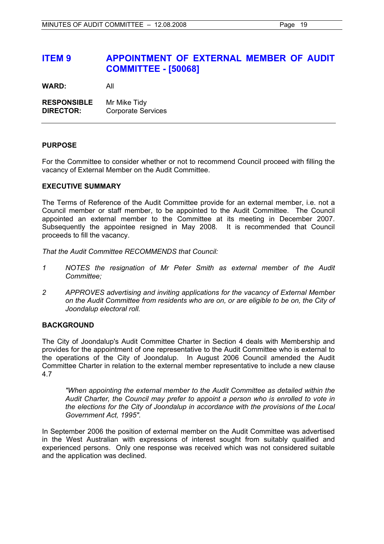# **ITEM 9 APPOINTMENT OF EXTERNAL MEMBER OF AUDIT COMMITTEE - [50068]**

**WARD:** All

**RESPONSIBLE** Mr Mike Tidy **DIRECTOR:** Corporate Services

# **PURPOSE**

For the Committee to consider whether or not to recommend Council proceed with filling the vacancy of External Member on the Audit Committee.

## **EXECUTIVE SUMMARY**

The Terms of Reference of the Audit Committee provide for an external member, i.e. not a Council member or staff member, to be appointed to the Audit Committee. The Council appointed an external member to the Committee at its meeting in December 2007. Subsequently the appointee resigned in May 2008. It is recommended that Council proceeds to fill the vacancy.

*That the Audit Committee RECOMMENDS that Council:* 

- *1 NOTES the resignation of Mr Peter Smith as external member of the Audit Committee;*
- *2 APPROVES advertising and inviting applications for the vacancy of External Member on the Audit Committee from residents who are on, or are eligible to be on, the City of Joondalup electoral roll.*

# **BACKGROUND**

The City of Joondalup's Audit Committee Charter in Section 4 deals with Membership and provides for the appointment of one representative to the Audit Committee who is external to the operations of the City of Joondalup. In August 2006 Council amended the Audit Committee Charter in relation to the external member representative to include a new clause 4.7

*"When appointing the external member to the Audit Committee as detailed within the Audit Charter, the Council may prefer to appoint a person who is enrolled to vote in the elections for the City of Joondalup in accordance with the provisions of the Local Government Act, 1995".* 

In September 2006 the position of external member on the Audit Committee was advertised in the West Australian with expressions of interest sought from suitably qualified and experienced persons. Only one response was received which was not considered suitable and the application was declined.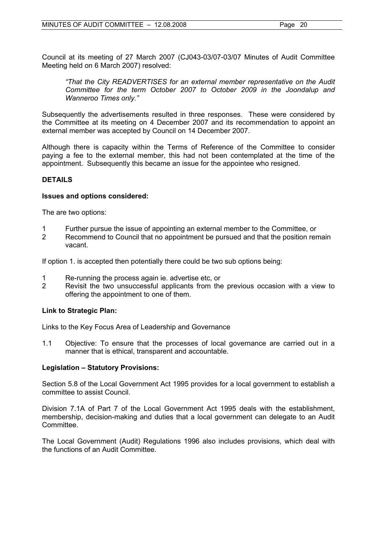Council at its meeting of 27 March 2007 (CJ043-03/07-03/07 Minutes of Audit Committee Meeting held on 6 March 2007) resolved:

*"That the City READVERTISES for an external member representative on the Audit Committee for the term October 2007 to October 2009 in the Joondalup and Wanneroo Times only."*

Subsequently the advertisements resulted in three responses. These were considered by the Committee at its meeting on 4 December 2007 and its recommendation to appoint an external member was accepted by Council on 14 December 2007.

Although there is capacity within the Terms of Reference of the Committee to consider paying a fee to the external member, this had not been contemplated at the time of the appointment. Subsequently this became an issue for the appointee who resigned.

# **DETAILS**

## **Issues and options considered:**

The are two options:

- 1 Further pursue the issue of appointing an external member to the Committee, or
- Recommend to Council that no appointment be pursued and that the position remain vacant.

If option 1. is accepted then potentially there could be two sub options being:

- 1 Re-running the process again ie. advertise etc, or
- 2 Revisit the two unsuccessful applicants from the previous occasion with a view to offering the appointment to one of them.

# **Link to Strategic Plan:**

Links to the Key Focus Area of Leadership and Governance

1.1 Objective: To ensure that the processes of local governance are carried out in a manner that is ethical, transparent and accountable.

# **Legislation – Statutory Provisions:**

Section 5.8 of the Local Government Act 1995 provides for a local government to establish a committee to assist Council.

Division 7.1A of Part 7 of the Local Government Act 1995 deals with the establishment, membership, decision-making and duties that a local government can delegate to an Audit Committee.

The Local Government (Audit) Regulations 1996 also includes provisions, which deal with the functions of an Audit Committee.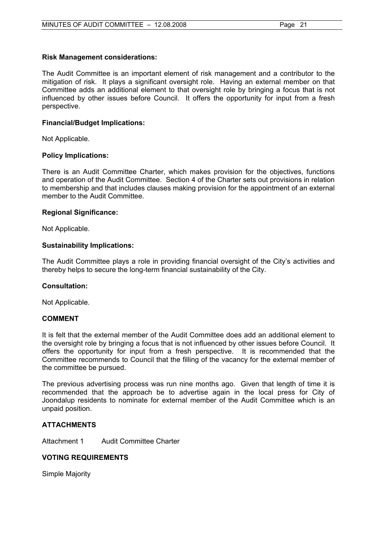# **Risk Management considerations:**

The Audit Committee is an important element of risk management and a contributor to the mitigation of risk. It plays a significant oversight role. Having an external member on that Committee adds an additional element to that oversight role by bringing a focus that is not influenced by other issues before Council. It offers the opportunity for input from a fresh perspective.

# **Financial/Budget Implications:**

Not Applicable.

# **Policy Implications:**

There is an Audit Committee Charter, which makes provision for the objectives, functions and operation of the Audit Committee. Section 4 of the Charter sets out provisions in relation to membership and that includes clauses making provision for the appointment of an external member to the Audit Committee.

# **Regional Significance:**

Not Applicable.

# **Sustainability Implications:**

The Audit Committee plays a role in providing financial oversight of the City's activities and thereby helps to secure the long-term financial sustainability of the City.

## **Consultation:**

Not Applicable.

# **COMMENT**

It is felt that the external member of the Audit Committee does add an additional element to the oversight role by bringing a focus that is not influenced by other issues before Council. It offers the opportunity for input from a fresh perspective. It is recommended that the Committee recommends to Council that the filling of the vacancy for the external member of the committee be pursued.

The previous advertising process was run nine months ago. Given that length of time it is recommended that the approach be to advertise again in the local press for City of Joondalup residents to nominate for external member of the Audit Committee which is an unpaid position.

# **ATTACHMENTS**

Attachment 1 Audit Committee Charter

# **VOTING REQUIREMENTS**

Simple Majority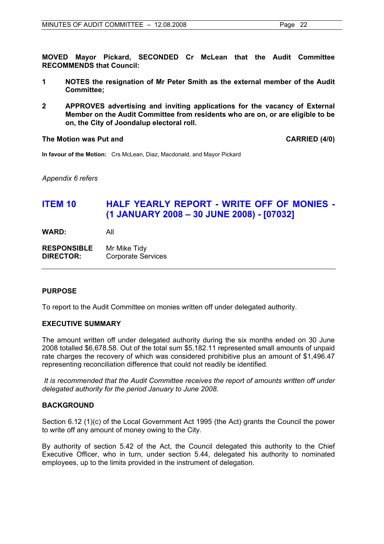**MOVED Mayor Pickard, SECONDED Cr McLean that the Audit Committee RECOMMENDS that Council:** 

- **1 NOTES the resignation of Mr Peter Smith as the external member of the Audit Committee;**
- **2 APPROVES advertising and inviting applications for the vacancy of External Member on the Audit Committee from residents who are on, or are eligible to be on, the City of Joondalup electoral roll.**

**The Motion was Put and CARRIED (4/0)** 

**In favour of the Motion:** Crs McLean, Diaz, Macdonald, and Mayor Pickard

*Appendix 6 refers* 

# **ITEM 10 HALF YEARLY REPORT - WRITE OFF OF MONIES - (1 JANUARY 2008 – 30 JUNE 2008) - [07032]**

**WARD:** All

**RESPONSIBLE** Mr Mike Tidy **DIRECTOR:** Corporate Services

# **PURPOSE**

To report to the Audit Committee on monies written off under delegated authority.

# **EXECUTIVE SUMMARY**

The amount written off under delegated authority during the six months ended on 30 June 2008 totalled \$6,678.58. Out of the total sum \$5,182.11 represented small amounts of unpaid rate charges the recovery of which was considered prohibitive plus an amount of \$1,496.47 representing reconciliation difference that could not readily be identified.

 *It is recommended that the Audit Committee receives the report of amounts written off under delegated authority for the period January to June 2008.*

## **BACKGROUND**

Section 6.12 (1)(c) of the Local Government Act 1995 (the Act) grants the Council the power to write off any amount of money owing to the City.

By authority of section 5.42 of the Act, the Council delegated this authority to the Chief Executive Officer, who in turn, under section 5.44, delegated his authority to nominated employees, up to the limits provided in the instrument of delegation.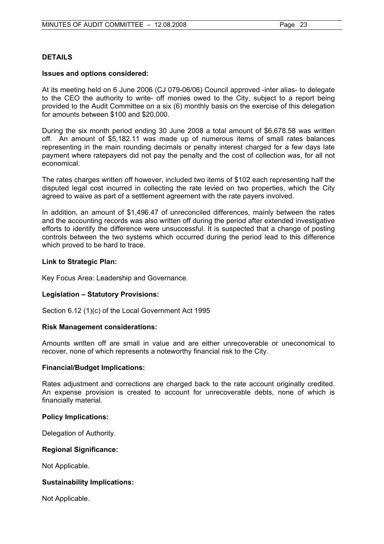# **DETAILS**

## **Issues and options considered:**

At its meeting held on 6 June 2006 (CJ 079-06/06) Council approved -inter alias- to delegate to the CEO the authority to write- off monies owed to the City, subject to a report being provided to the Audit Committee on a six (6) monthly basis on the exercise of this delegation for amounts between \$100 and \$20,000.

During the six month period ending 30 June 2008 a total amount of \$6,678.58 was written off. An amount of \$5,182.11 was made up of numerous items of small rates balances representing in the main rounding decimals or penalty interest charged for a few days late payment where ratepayers did not pay the penalty and the cost of collection was, for all not economical.

The rates charges written off however, included two items of \$102 each representing half the disputed legal cost incurred in collecting the rate levied on two properties, which the City agreed to waive as part of a settlement agreement with the rate payers involved.

In addition, an amount of \$1,496.47 of unreconciled differences, mainly between the rates and the accounting records was also written off during the period after extended investigative efforts to identify the difference were unsuccessful. It is suspected that a change of posting controls between the two systems which occurred during the period lead to this difference which proved to be hard to trace.

# **Link to Strategic Plan:**

Key Focus Area: Leadership and Governance.

## **Legislation – Statutory Provisions:**

Section 6.12 (1)(c) of the Local Government Act 1995

## **Risk Management considerations:**

Amounts written off are small in value and are either unrecoverable or uneconomical to recover, none of which represents a noteworthy financial risk to the City.

## **Financial/Budget Implications:**

Rates adjustment and corrections are charged back to the rate account originally credited. An expense provision is created to account for unrecoverable debts, none of which is financially material.

## **Policy Implications:**

Delegation of Authority.

## **Regional Significance:**

Not Applicable.

# **Sustainability Implications:**

Not Applicable.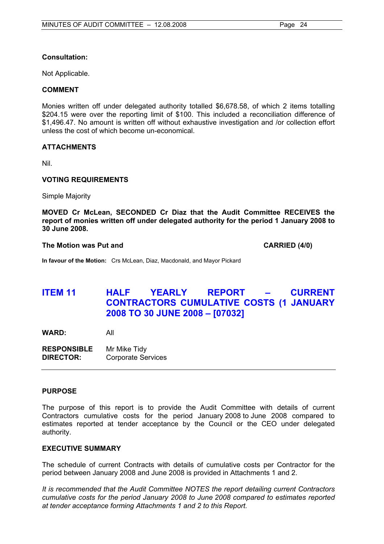# **Consultation:**

Not Applicable.

# **COMMENT**

Monies written off under delegated authority totalled \$6,678.58, of which 2 items totalling \$204.15 were over the reporting limit of \$100. This included a reconciliation difference of \$1,496.47. No amount is written off without exhaustive investigation and /or collection effort unless the cost of which become un-economical.

# **ATTACHMENTS**

Nil.

# **VOTING REQUIREMENTS**

Simple Majority

**MOVED Cr McLean, SECONDED Cr Diaz that the Audit Committee RECEIVES the report of monies written off under delegated authority for the period 1 January 2008 to 30 June 2008.** 

## **The Motion was Put and CARRIED (4/0)**

**In favour of the Motion:** Crs McLean, Diaz, Macdonald, and Mayor Pickard

# **ITEM 11 HALF YEARLY REPORT – CURRENT CONTRACTORS CUMULATIVE COSTS (1 JANUARY 2008 TO 30 JUNE 2008 – [07032]**

**WARD:** All

**RESPONSIBLE** Mr Mike Tidy **DIRECTOR:** Corporate Services

## **PURPOSE**

The purpose of this report is to provide the Audit Committee with details of current Contractors cumulative costs for the period January 2008 to June 2008 compared to estimates reported at tender acceptance by the Council or the CEO under delegated authority.

# **EXECUTIVE SUMMARY**

The schedule of current Contracts with details of cumulative costs per Contractor for the period between January 2008 and June 2008 is provided in Attachments 1 and 2.

*It is recommended that the Audit Committee NOTES the report detailing current Contractors cumulative costs for the period January 2008 to June 2008 compared to estimates reported at tender acceptance forming Attachments 1 and 2 to this Report.*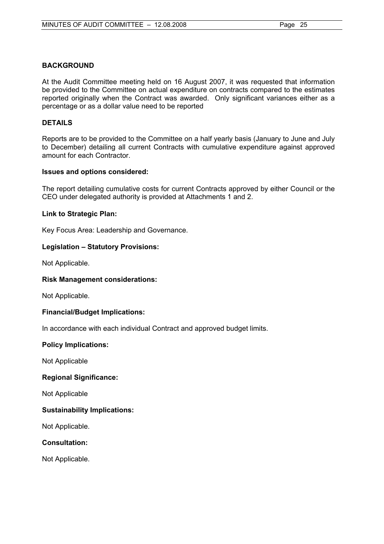# **BACKGROUND**

At the Audit Committee meeting held on 16 August 2007, it was requested that information be provided to the Committee on actual expenditure on contracts compared to the estimates reported originally when the Contract was awarded. Only significant variances either as a percentage or as a dollar value need to be reported

# **DETAILS**

Reports are to be provided to the Committee on a half yearly basis (January to June and July to December) detailing all current Contracts with cumulative expenditure against approved amount for each Contractor.

# **Issues and options considered:**

The report detailing cumulative costs for current Contracts approved by either Council or the CEO under delegated authority is provided at Attachments 1 and 2.

# **Link to Strategic Plan:**

Key Focus Area: Leadership and Governance.

# **Legislation – Statutory Provisions:**

Not Applicable.

## **Risk Management considerations:**

Not Applicable.

## **Financial/Budget Implications:**

In accordance with each individual Contract and approved budget limits.

## **Policy Implications:**

Not Applicable

# **Regional Significance:**

Not Applicable

# **Sustainability Implications:**

Not Applicable.

# **Consultation:**

Not Applicable.